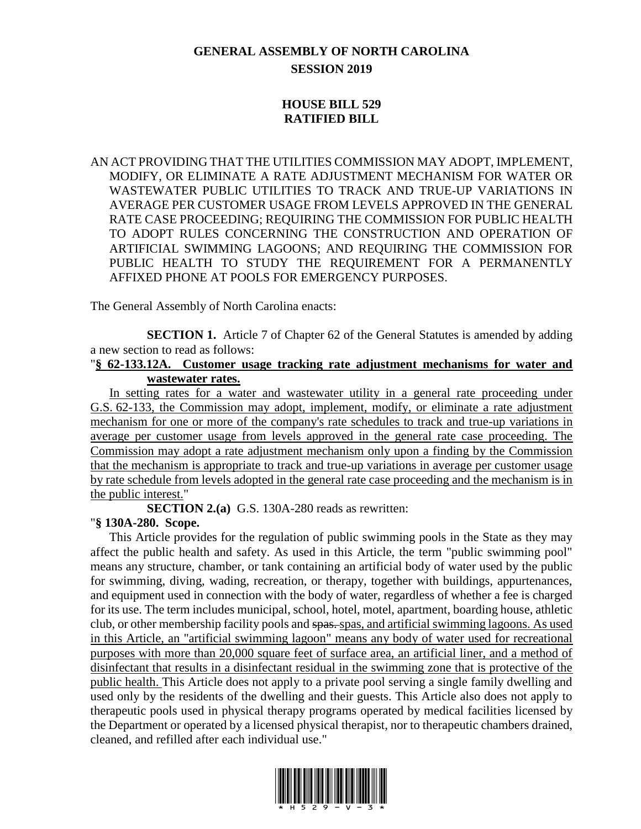## **GENERAL ASSEMBLY OF NORTH CAROLINA SESSION 2019**

## **HOUSE BILL 529 RATIFIED BILL**

AN ACT PROVIDING THAT THE UTILITIES COMMISSION MAY ADOPT, IMPLEMENT, MODIFY, OR ELIMINATE A RATE ADJUSTMENT MECHANISM FOR WATER OR WASTEWATER PUBLIC UTILITIES TO TRACK AND TRUE-UP VARIATIONS IN AVERAGE PER CUSTOMER USAGE FROM LEVELS APPROVED IN THE GENERAL RATE CASE PROCEEDING; REQUIRING THE COMMISSION FOR PUBLIC HEALTH TO ADOPT RULES CONCERNING THE CONSTRUCTION AND OPERATION OF ARTIFICIAL SWIMMING LAGOONS; AND REQUIRING THE COMMISSION FOR PUBLIC HEALTH TO STUDY THE REQUIREMENT FOR A PERMANENTLY AFFIXED PHONE AT POOLS FOR EMERGENCY PURPOSES.

The General Assembly of North Carolina enacts:

**SECTION 1.** Article 7 of Chapter 62 of the General Statutes is amended by adding a new section to read as follows:

## "**§ 62-133.12A. Customer usage tracking rate adjustment mechanisms for water and wastewater rates.**

In setting rates for a water and wastewater utility in a general rate proceeding under G.S. 62-133, the Commission may adopt, implement, modify, or eliminate a rate adjustment mechanism for one or more of the company's rate schedules to track and true-up variations in average per customer usage from levels approved in the general rate case proceeding. The Commission may adopt a rate adjustment mechanism only upon a finding by the Commission that the mechanism is appropriate to track and true-up variations in average per customer usage by rate schedule from levels adopted in the general rate case proceeding and the mechanism is in the public interest."

**SECTION 2.(a)** G.S. 130A-280 reads as rewritten:

## "**§ 130A-280. Scope.**

This Article provides for the regulation of public swimming pools in the State as they may affect the public health and safety. As used in this Article, the term "public swimming pool" means any structure, chamber, or tank containing an artificial body of water used by the public for swimming, diving, wading, recreation, or therapy, together with buildings, appurtenances, and equipment used in connection with the body of water, regardless of whether a fee is charged for its use. The term includes municipal, school, hotel, motel, apartment, boarding house, athletic club, or other membership facility pools and spas. spas, and artificial swimming lagoons. As used in this Article, an "artificial swimming lagoon" means any body of water used for recreational purposes with more than 20,000 square feet of surface area, an artificial liner, and a method of disinfectant that results in a disinfectant residual in the swimming zone that is protective of the public health. This Article does not apply to a private pool serving a single family dwelling and used only by the residents of the dwelling and their guests. This Article also does not apply to therapeutic pools used in physical therapy programs operated by medical facilities licensed by the Department or operated by a licensed physical therapist, nor to therapeutic chambers drained, cleaned, and refilled after each individual use."